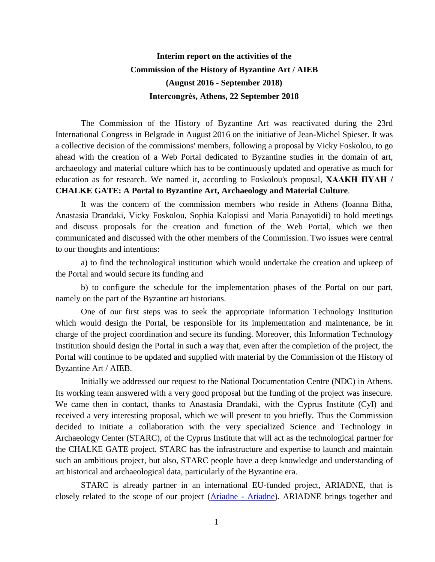## **Interim report on the activities of the Commission of the History of Byzantine Art / AIEB (August 2016 - September 2018) Intercongrès, Athens, 22 September 2018**

The Commission of the History of Byzantine Art was reactivated during the 23rd International Congress in Belgrade in August 2016 on the initiative of Jean-Michel Spieser. It was a collective decision of the commissions' members, following a proposal by Vicky Foskolou, to go ahead with the creation of a Web Portal dedicated to Byzantine studies in the domain of art, archaeology and material culture which has to be continuously updated and operative as much for education as for research. We named it, according to Foskolou's proposal, **ΧΑΛΚΗ ΠΥΛΗ / CHALKE GATE: A Portal to Byzantine Art, Archaeology and Material Culture**.

It was the concern of the commission members who reside in Athens (Ioanna Bitha, Anastasia Drandaki, Vicky Foskolou, Sophia Kalopissi and Maria Panayotidi) to hold meetings and discuss proposals for the creation and function of the Web Portal, which we then communicated and discussed with the other members of the Commission. Two issues were central to our thoughts and intentions:

a) to find the technological institution which would undertake the creation and upkeep of the Portal and would secure its funding and

b) to configure the schedule for the implementation phases of the Portal on our part, namely on the part of the Byzantine art historians.

One of our first steps was to seek the appropriate Information Technology Institution which would design the Portal, be responsible for its implementation and maintenance, be in charge of the project coordination and secure its funding. Moreover, this Information Technology Institution should design the Portal in such a way that, even after the completion of the project, the Portal will continue to be updated and supplied with material by the Commission of the History of Byzantine Art / AIEB.

Initially we addressed our request to the National Documentation Centre (NDC) in Athens. Its working team answered with a very good proposal but the funding of the project was insecure. We came then in contact, thanks to Anastasia Drandaki, with the Cyprus Institute (CyI) and received a very interesting proposal, which we will present to you briefly. Thus the Commission decided to initiate a collaboration with the very specialized Science and Technology in Archaeology Center (STARC), of the Cyprus Institute that will act as the technological partner for the CHALKE GATE project. STARC has the infrastructure and expertise to launch and maintain such an ambitious project, but also, STARC people have a deep knowledge and understanding of art historical and archaeological data, particularly of the Byzantine era.

STARC is already partner in an international EU-funded project, ARIADNE, that is closely related to the scope of our project [\(Ariadne -](http://www.ariadne-infrastructure.eu/) Ariadne). ARIADNE brings together and